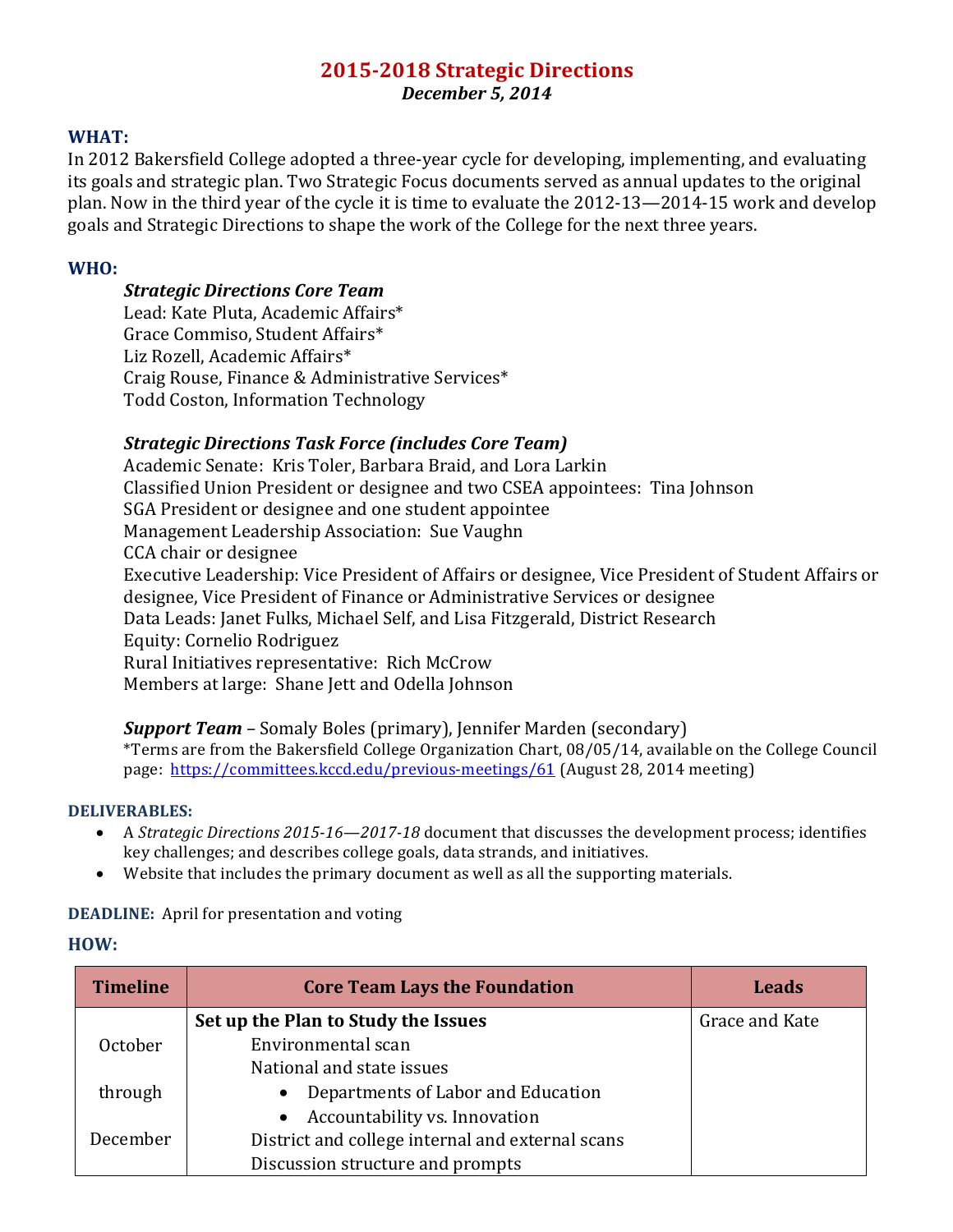# **2015-2018 Strategic Directions** *December 5, 2014*

### **WHAT:**

In 2012 Bakersfield College adopted a three-year cycle for developing, implementing, and evaluating its goals and strategic plan. Two Strategic Focus documents served as annual updates to the original plan. Now in the third year of the cycle it is time to evaluate the 2012-13—2014-15 work and develop goals and Strategic Directions to shape the work of the College for the next three years.

## **WHO:**

## *Strategic Directions Core Team*

Lead: Kate Pluta, Academic Affairs\* Grace Commiso, Student Affairs\* Liz Rozell, Academic Affairs\* Craig Rouse, Finance & Administrative Services\* Todd Coston, Information Technology

### **Strategic Directions Task Force (includes Core Team)**

designee, Vice President of Finance or Administrative Services or designee Data Leads: Janet Fulks, Michael Self, and Lisa Fitzgerald, District Research Members at large: Shane Jett and Odella Johnson Academic Senate: Kris Toler, Barbara Braid, and Lora Larkin Classified Union President or designee and two CSEA appointees: Tina Johnson SGA President or designee and one student appointee Management Leadership Association: Sue Vaughn CCA chair or designee Executive Leadership: Vice President of Affairs or designee, Vice President of Student Affairs or Equity: Cornelio Rodriguez Rural Initiatives representative: Rich McCrow

# *Support Team* – Somaly Boles (primary), Jennifer Marden (secondary)

 $^\ast$ Terms are from the Bakersfield College Organization Chart, 08/05/14, available on the College Council page: <u>https://committees.kccd.edu/previous-meetings/61</u> (August 28, 2014 meeting)

#### **DELIVERABLES:**

- A *Strategic Directions 2015-16—2017-18* document that discusses the development process; identifies key challenges; and describes college goals, data strands, and initiatives.
- Website that includes the primary document as well as all the supporting materials.

# **DEADLINE:** April for presentation and voting

#### **HOW:**

| <b>Timeline</b> | <b>Core Team Lays the Foundation</b>             | <b>Leads</b>   |
|-----------------|--------------------------------------------------|----------------|
|                 | Set up the Plan to Study the Issues              | Grace and Kate |
| October         | Environmental scan                               |                |
|                 | National and state issues                        |                |
| through         | Departments of Labor and Education               |                |
|                 | Accountability vs. Innovation                    |                |
| December        | District and college internal and external scans |                |
|                 | Discussion structure and prompts                 |                |